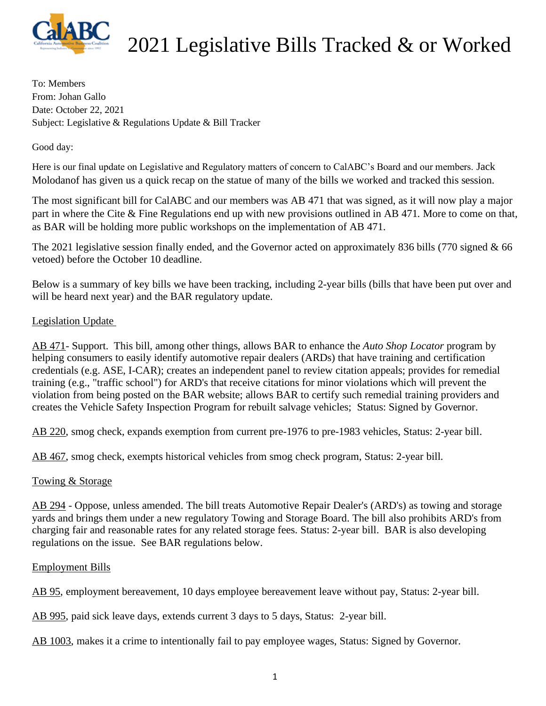

To: Members From: Johan Gallo Date: October 22, 2021 Subject: Legislative & Regulations Update & Bill Tracker

Good day:

Here is our final update on Legislative and Regulatory matters of concern to CalABC's Board and our members. Jack Molodanof has given us a quick recap on the statue of many of the bills we worked and tracked this session.

The most significant bill for CalABC and our members was AB 471 that was signed, as it will now play a major part in where the Cite & Fine Regulations end up with new provisions outlined in AB 471. More to come on that, as BAR will be holding more public workshops on the implementation of AB 471.

The 2021 legislative session finally ended, and the Governor acted on approximately 836 bills (770 signed & 66 vetoed) before the October 10 deadline.

Below is a summary of key bills we have been tracking, including 2-year bills (bills that have been put over and will be heard next year) and the BAR regulatory update.

## Legislation Update

AB 471- Support. This bill, among other things, allows BAR to enhance the *Auto Shop Locator* program by helping consumers to easily identify automotive repair dealers (ARDs) that have training and certification credentials (e.g. ASE, I-CAR); creates an independent panel to review citation appeals; provides for remedial training (e.g., "traffic school") for ARD's that receive citations for minor violations which will prevent the violation from being posted on the BAR website; allows BAR to certify such remedial training providers and creates the Vehicle Safety Inspection Program for rebuilt salvage vehicles; Status: Signed by Governor.

AB 220, smog check, expands exemption from current pre-1976 to pre-1983 vehicles, Status: 2-year bill.

AB 467, smog check, exempts historical vehicles from smog check program, Status: 2-year bill.

## Towing & Storage

AB 294 - Oppose, unless amended. The bill treats Automotive Repair Dealer's (ARD's) as towing and storage yards and brings them under a new regulatory Towing and Storage Board. The bill also prohibits ARD's from charging fair and reasonable rates for any related storage fees. Status: 2-year bill. BAR is also developing regulations on the issue. See BAR regulations below.

### Employment Bills

AB 95, employment bereavement, 10 days employee bereavement leave without pay, Status: 2-year bill.

AB 995, paid sick leave days, extends current 3 days to 5 days, Status: 2-year bill.

AB 1003, makes it a crime to intentionally fail to pay employee wages, Status: Signed by Governor.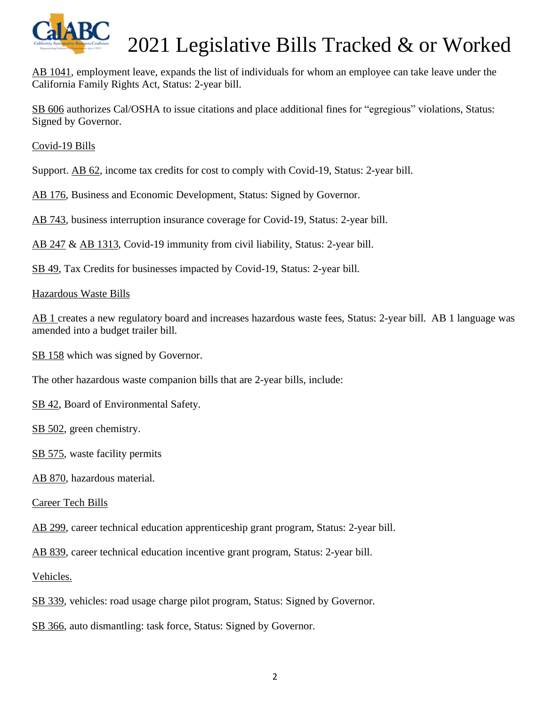

AB 1041, employment leave, expands the list of individuals for whom an employee can take leave under the California Family Rights Act, Status: 2-year bill.

SB 606 authorizes Cal/OSHA to issue citations and place additional fines for "egregious" violations, Status: Signed by Governor.

Covid-19 Bills

Support. AB 62, income tax credits for cost to comply with Covid-19, Status: 2-year bill.

AB 176, Business and Economic Development, Status: Signed by Governor.

AB 743, business interruption insurance coverage for Covid-19, Status: 2-year bill.

AB 247 & AB 1313, Covid-19 immunity from civil liability, Status: 2-year bill.

SB 49, Tax Credits for businesses impacted by Covid-19, Status: 2-year bill.

#### Hazardous Waste Bills

AB 1 creates a new regulatory board and increases hazardous waste fees, Status: 2-year bill. AB 1 language was amended into a budget trailer bill.

SB 158 which was signed by Governor.

The other hazardous waste companion bills that are 2-year bills, include:

SB 42, Board of Environmental Safety.

SB 502, green chemistry.

SB 575, waste facility permits

AB 870, hazardous material.

Career Tech Bills

AB 299, career technical education apprenticeship grant program, Status: 2-year bill.

AB 839, career technical education incentive grant program, Status: 2-year bill.

Vehicles.

SB 339, vehicles: road usage charge pilot program, Status: Signed by Governor.

SB 366, auto dismantling: task force, Status: Signed by Governor.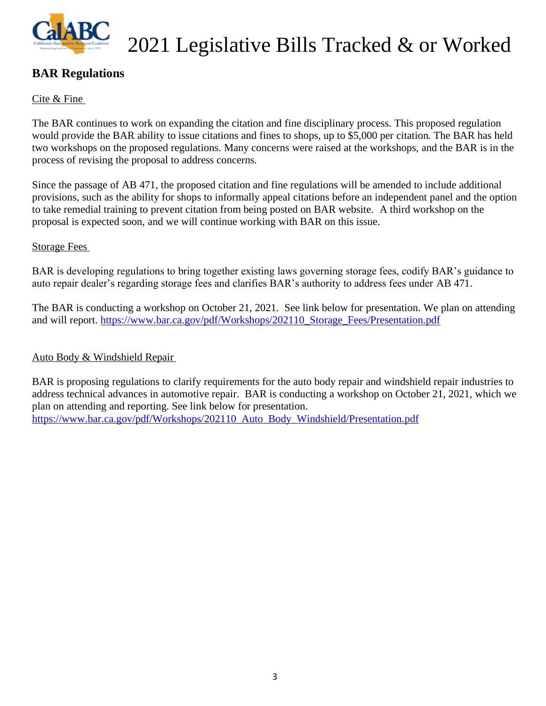

## **BAR Regulations**

## Cite & Fine

The BAR continues to work on expanding the citation and fine disciplinary process. This proposed regulation would provide the BAR ability to issue citations and fines to shops, up to \$5,000 per citation. The BAR has held two workshops on the proposed regulations. Many concerns were raised at the workshops, and the BAR is in the process of revising the proposal to address concerns.

Since the passage of AB 471, the proposed citation and fine regulations will be amended to include additional provisions, such as the ability for shops to informally appeal citations before an independent panel and the option to take remedial training to prevent citation from being posted on BAR website. A third workshop on the proposal is expected soon, and we will continue working with BAR on this issue.

### Storage Fees

BAR is developing regulations to bring together existing laws governing storage fees, codify BAR's guidance to auto repair dealer's regarding storage fees and clarifies BAR's authority to address fees under AB 471.

The BAR is conducting a workshop on October 21, 2021. See link below for presentation. We plan on attending and will report. [https://www.bar.ca.gov/pdf/Workshops/202110\\_Storage\\_Fees/Presentation.pdf](https://na01.safelinks.protection.outlook.com/?url=https%3A%2F%2Fwww.bar.ca.gov%2Fpdf%2FWorkshops%2F202110_Storage_Fees%2FPresentation.pdf&data=04%7C01%7C%7Cda1d38f861754911139908d98cc445c3%7C84df9e7fe9f640afb435aaaaaaaaaaaa%7C1%7C0%7C637695596881095296%7CUnknown%7CTWFpbGZsb3d8eyJWIjoiMC4wLjAwMDAiLCJQIjoiV2luMzIiLCJBTiI6Ik1haWwiLCJXVCI6Mn0%3D%7C1000&sdata=Vl6xDiNeh3pGmingEGIOD9PkLrbhwTw3s3htNM1qXy0%3D&reserved=0)

## Auto Body & Windshield Repair

BAR is proposing regulations to clarify requirements for the auto body repair and windshield repair industries to address technical advances in automotive repair. BAR is conducting a workshop on October 21, 2021, which we plan on attending and reporting. See link below for presentation. [https://www.bar.ca.gov/pdf/Workshops/202110\\_Auto\\_Body\\_Windshield/Presentation.pdf](https://na01.safelinks.protection.outlook.com/?url=https%3A%2F%2Fwww.bar.ca.gov%2Fpdf%2FWorkshops%2F202110_Auto_Body_Windshield%2FPresentation.pdf&data=04%7C01%7C%7Cda1d38f861754911139908d98cc445c3%7C84df9e7fe9f640afb435aaaaaaaaaaaa%7C1%7C0%7C637695596881095296%7CUnknown%7CTWFpbGZsb3d8eyJWIjoiMC4wLjAwMDAiLCJQIjoiV2luMzIiLCJBTiI6Ik1haWwiLCJXVCI6Mn0%3D%7C1000&sdata=fq2tmKMZdeFiMJZTqqvTpBaYlgdeOrgRzSgbJflEH%2Bw%3D&reserved=0)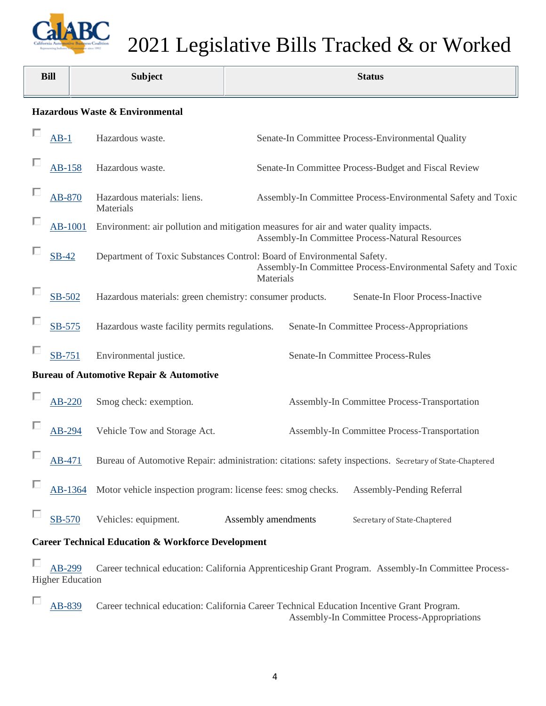

| <b>Bill</b>                                                                                                                              | <b>Subject</b>                                               | <b>Status</b>                                                                                                                                       |  |  |  |  |
|------------------------------------------------------------------------------------------------------------------------------------------|--------------------------------------------------------------|-----------------------------------------------------------------------------------------------------------------------------------------------------|--|--|--|--|
| Hazardous Waste & Environmental                                                                                                          |                                                              |                                                                                                                                                     |  |  |  |  |
| $AB-1$                                                                                                                                   | Hazardous waste.                                             | Senate-In Committee Process-Environmental Quality                                                                                                   |  |  |  |  |
| AB-158                                                                                                                                   | Hazardous waste.                                             | Senate-In Committee Process-Budget and Fiscal Review                                                                                                |  |  |  |  |
| AB-870                                                                                                                                   | Hazardous materials: liens.<br>Materials                     | Assembly-In Committee Process-Environmental Safety and Toxic                                                                                        |  |  |  |  |
| <b>AB-1001</b>                                                                                                                           |                                                              | Environment: air pollution and mitigation measures for air and water quality impacts.<br>Assembly-In Committee Process-Natural Resources            |  |  |  |  |
| <b>SB-42</b>                                                                                                                             |                                                              | Department of Toxic Substances Control: Board of Environmental Safety.<br>Assembly-In Committee Process-Environmental Safety and Toxic<br>Materials |  |  |  |  |
| SB-502                                                                                                                                   |                                                              | Hazardous materials: green chemistry: consumer products.<br>Senate-In Floor Process-Inactive                                                        |  |  |  |  |
| SB-575                                                                                                                                   | Hazardous waste facility permits regulations.                | Senate-In Committee Process-Appropriations                                                                                                          |  |  |  |  |
| SB-751                                                                                                                                   | Environmental justice.                                       | Senate-In Committee Process-Rules                                                                                                                   |  |  |  |  |
|                                                                                                                                          | <b>Bureau of Automotive Repair &amp; Automotive</b>          |                                                                                                                                                     |  |  |  |  |
| AB-220                                                                                                                                   | Smog check: exemption.                                       | Assembly-In Committee Process-Transportation                                                                                                        |  |  |  |  |
| AB-294                                                                                                                                   | Vehicle Tow and Storage Act.                                 | Assembly-In Committee Process-Transportation                                                                                                        |  |  |  |  |
| AB-471                                                                                                                                   |                                                              | Bureau of Automotive Repair: administration: citations: safety inspections. Secretary of State-Chaptered                                            |  |  |  |  |
| AB-1364                                                                                                                                  | Motor vehicle inspection program: license fees: smog checks. | Assembly-Pending Referral                                                                                                                           |  |  |  |  |
| <b>SB-570</b>                                                                                                                            | Vehicles: equipment.                                         | Assembly amendments<br>Secretary of State-Chaptered                                                                                                 |  |  |  |  |
| <b>Career Technical Education &amp; Workforce Development</b>                                                                            |                                                              |                                                                                                                                                     |  |  |  |  |
| AB-299<br>Career technical education: California Apprenticeship Grant Program. Assembly-In Committee Process-<br><b>Higher Education</b> |                                                              |                                                                                                                                                     |  |  |  |  |

 $\Box$ [AB-839](https://leginfo.legislature.ca.gov/faces/billNavClient.xhtml?bill_id=202120220AB839&firstNav=tracking) Career technical education: California Career Technical Education Incentive Grant Program. Assembly-In Committee Process-Appropriations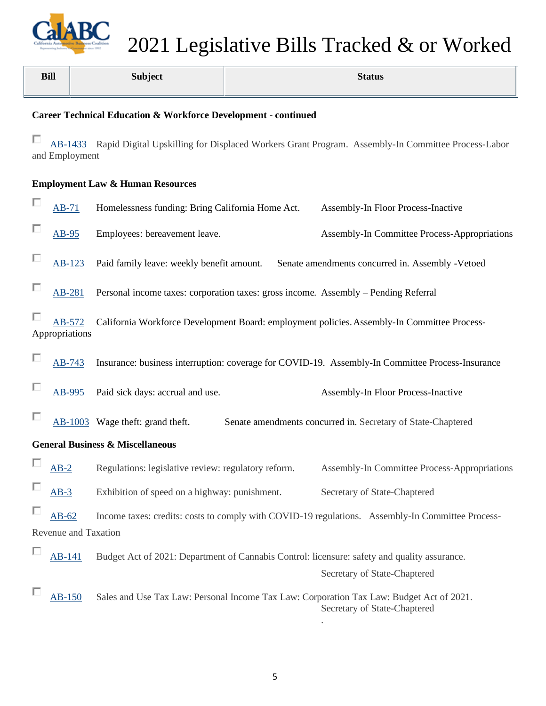

| <b>Bill</b>                                                                                                                      | <b>Subject</b>                                | <b>Status</b>                                                                                                            |  |  |  |  |  |  |
|----------------------------------------------------------------------------------------------------------------------------------|-----------------------------------------------|--------------------------------------------------------------------------------------------------------------------------|--|--|--|--|--|--|
| Career Technical Education & Workforce Development - continued                                                                   |                                               |                                                                                                                          |  |  |  |  |  |  |
| П<br>AB-1433 Rapid Digital Upskilling for Displaced Workers Grant Program. Assembly-In Committee Process-Labor<br>and Employment |                                               |                                                                                                                          |  |  |  |  |  |  |
| <b>Employment Law &amp; Human Resources</b>                                                                                      |                                               |                                                                                                                          |  |  |  |  |  |  |
| п<br>$AB-71$                                                                                                                     |                                               | Homelessness funding: Bring California Home Act.<br>Assembly-In Floor Process-Inactive                                   |  |  |  |  |  |  |
| AB-95                                                                                                                            | Employees: bereavement leave.                 | Assembly-In Committee Process-Appropriations                                                                             |  |  |  |  |  |  |
|                                                                                                                                  | AB-123                                        | Paid family leave: weekly benefit amount.<br>Senate amendments concurred in. Assembly -Vetoed                            |  |  |  |  |  |  |
|                                                                                                                                  | AB-281                                        | Personal income taxes: corporation taxes: gross income. Assembly – Pending Referral                                      |  |  |  |  |  |  |
| Appropriations                                                                                                                   | AB-572                                        | California Workforce Development Board: employment policies. Assembly-In Committee Process-                              |  |  |  |  |  |  |
|                                                                                                                                  | AB-743                                        | Insurance: business interruption: coverage for COVID-19. Assembly-In Committee Process-Insurance                         |  |  |  |  |  |  |
|                                                                                                                                  | Paid sick days: accrual and use.<br>AB-995    | Assembly-In Floor Process-Inactive                                                                                       |  |  |  |  |  |  |
|                                                                                                                                  | AB-1003 Wage theft: grand theft.              | Senate amendments concurred in. Secretary of State-Chaptered                                                             |  |  |  |  |  |  |
| <b>General Business &amp; Miscellaneous</b>                                                                                      |                                               |                                                                                                                          |  |  |  |  |  |  |
| $AB-2$                                                                                                                           |                                               | Regulations: legislative review: regulatory reform. Assembly-In Committee Process-Appropriations                         |  |  |  |  |  |  |
| $AB-3$                                                                                                                           | Exhibition of speed on a highway: punishment. | Secretary of State-Chaptered                                                                                             |  |  |  |  |  |  |
| $AB-62$                                                                                                                          |                                               | Income taxes: credits: costs to comply with COVID-19 regulations. Assembly-In Committee Process-                         |  |  |  |  |  |  |
| Revenue and Taxation                                                                                                             |                                               |                                                                                                                          |  |  |  |  |  |  |
| AB-141                                                                                                                           |                                               | Budget Act of 2021: Department of Cannabis Control: licensure: safety and quality assurance.                             |  |  |  |  |  |  |
|                                                                                                                                  |                                               | Secretary of State-Chaptered                                                                                             |  |  |  |  |  |  |
| $AB-150$                                                                                                                         |                                               | Sales and Use Tax Law: Personal Income Tax Law: Corporation Tax Law: Budget Act of 2021.<br>Secretary of State-Chaptered |  |  |  |  |  |  |

.